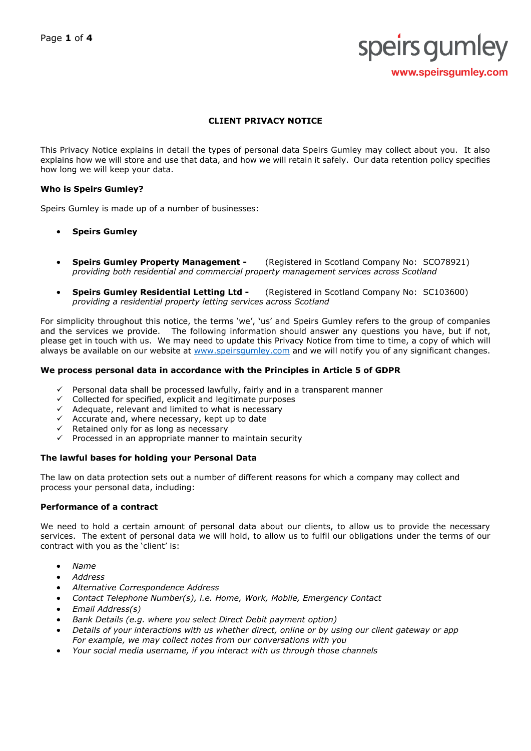# speirs gumley www.speirsgumley.com

## **CLIENT PRIVACY NOTICE**

This Privacy Notice explains in detail the types of personal data Speirs Gumley may collect about you. It also explains how we will store and use that data, and how we will retain it safely. Our data retention policy specifies how long we will keep your data.

#### **Who is Speirs Gumley?**

Speirs Gumley is made up of a number of businesses:

- **Speirs Gumley**
- **Speirs Gumley Property Management -** (Registered in Scotland Company No: SCO78921) *providing both residential and commercial property management services across Scotland*
- **Speirs Gumley Residential Letting Ltd -** (Registered in Scotland Company No: SC103600) *providing a residential property letting services across Scotland*

For simplicity throughout this notice, the terms 'we', 'us' and Speirs Gumley refers to the group of companies and the services we provide. The following information should answer any questions you have, but if not, please get in touch with us. We may need to update this Privacy Notice from time to time, a copy of which will always be available on our website at www.speirsqumley.com and we will notify you of any significant changes.

#### **We process personal data in accordance with the Principles in Article 5 of GDPR**

- $\checkmark$  Personal data shall be processed lawfully, fairly and in a transparent manner
- $\checkmark$  Collected for specified, explicit and legitimate purposes
- $\checkmark$  Adequate, relevant and limited to what is necessary
- $\checkmark$  Accurate and, where necessary, kept up to date
- Retained only for as long as necessary
- $\checkmark$  Processed in an appropriate manner to maintain security

## **The lawful bases for holding your Personal Data**

The law on data protection sets out a number of different reasons for which a company may collect and process your personal data, including:

## **Performance of a contract**

We need to hold a certain amount of personal data about our clients, to allow us to provide the necessary services. The extent of personal data we will hold, to allow us to fulfil our obligations under the terms of our contract with you as the 'client' is:

- *Name*
- *Address*
- *Alternative Correspondence Address*
- *Contact Telephone Number(s), i.e. Home, Work, Mobile, Emergency Contact*
- *Email Address(s)*
- *Bank Details (e.g. where you select Direct Debit payment option)*
- *Details of your interactions with us whether direct, online or by using our client gateway or app For example, we may collect notes from our conversations with you*
- *Your social media username, if you interact with us through those channels*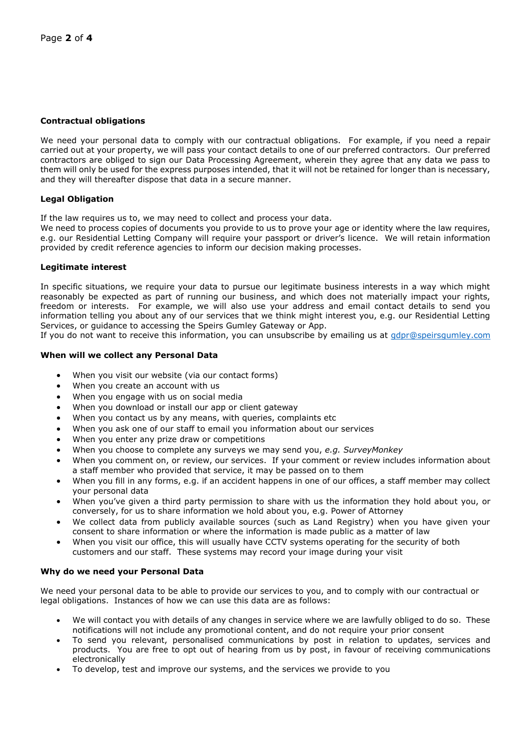## **Contractual obligations**

We need your personal data to comply with our contractual obligations. For example, if you need a repair carried out at your property, we will pass your contact details to one of our preferred contractors. Our preferred contractors are obliged to sign our Data Processing Agreement, wherein they agree that any data we pass to them will only be used for the express purposes intended, that it will not be retained for longer than is necessary, and they will thereafter dispose that data in a secure manner.

## **Legal Obligation**

If the law requires us to, we may need to collect and process your data.

We need to process copies of documents you provide to us to prove your age or identity where the law requires, e.g. our Residential Letting Company will require your passport or driver's licence. We will retain information provided by credit reference agencies to inform our decision making processes.

## **Legitimate interest**

In specific situations, we require your data to pursue our legitimate business interests in a way which might reasonably be expected as part of running our business, and which does not materially impact your rights, freedom or interests. For example, we will also use your address and email contact details to send you information telling you about any of our services that we think might interest you, e.g. our Residential Letting Services, or guidance to accessing the Speirs Gumley Gateway or App.

If you do not want to receive this information, you can unsubscribe by emailing us at [gdpr@speirsgumley.com](mailto:gdpr@speirsgumley.com)

## **When will we collect any Personal Data**

- When you visit our website (via our contact forms)
- When you create an account with us
- When you engage with us on social media
- When you download or install our app or client gateway
- When you contact us by any means, with queries, complaints etc
- When you ask one of our staff to email you information about our services
- When you enter any prize draw or competitions
- When you choose to complete any surveys we may send you, *e.g. SurveyMonkey*
- When you comment on, or review, our services. If your comment or review includes information about a staff member who provided that service, it may be passed on to them
- When you fill in any forms, e.g. if an accident happens in one of our offices, a staff member may collect your personal data
- When you've given a third party permission to share with us the information they hold about you, or conversely, for us to share information we hold about you, e.g. Power of Attorney
- We collect data from publicly available sources (such as Land Registry) when you have given your consent to share information or where the information is made public as a matter of law
- When you visit our office, this will usually have CCTV systems operating for the security of both customers and our staff. These systems may record your image during your visit

## **Why do we need your Personal Data**

We need your personal data to be able to provide our services to you, and to comply with our contractual or legal obligations. Instances of how we can use this data are as follows:

- We will contact you with details of any changes in service where we are lawfully obliged to do so. These notifications will not include any promotional content, and do not require your prior consent
- To send you relevant, personalised communications by post in relation to updates, services and products. You are free to opt out of hearing from us by post, in favour of receiving communications electronically
- To develop, test and improve our systems, and the services we provide to you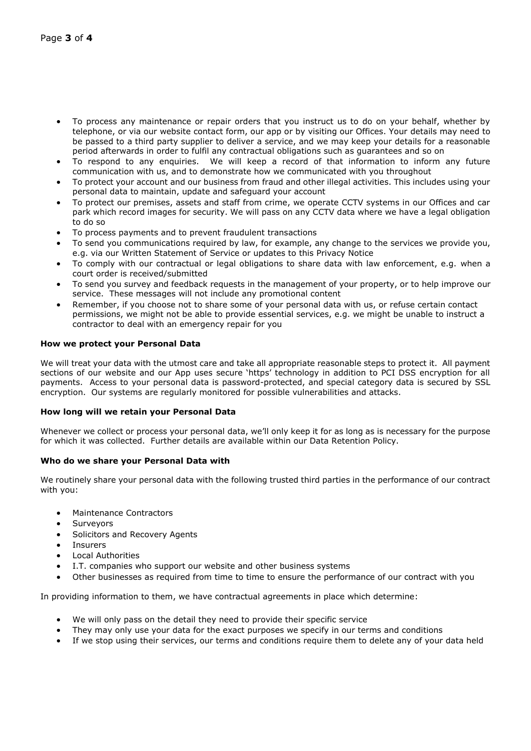- To process any maintenance or repair orders that you instruct us to do on your behalf, whether by telephone, or via our website contact form, our app or by visiting our Offices. Your details may need to be passed to a third party supplier to deliver a service, and we may keep your details for a reasonable period afterwards in order to fulfil any contractual obligations such as guarantees and so on
- To respond to any enquiries. We will keep a record of that information to inform any future communication with us, and to demonstrate how we communicated with you throughout
- To protect your account and our business from fraud and other illegal activities. This includes using your personal data to maintain, update and safeguard your account
- To protect our premises, assets and staff from crime, we operate CCTV systems in our Offices and car park which record images for security. We will pass on any CCTV data where we have a legal obligation to do so
- To process payments and to prevent fraudulent transactions
- To send you communications required by law, for example, any change to the services we provide you, e.g. via our Written Statement of Service or updates to this Privacy Notice
- To comply with our contractual or legal obligations to share data with law enforcement, e.g. when a court order is received/submitted
- To send you survey and feedback requests in the management of your property, or to help improve our service. These messages will not include any promotional content
- Remember, if you choose not to share some of your personal data with us, or refuse certain contact permissions, we might not be able to provide essential services, e.g. we might be unable to instruct a contractor to deal with an emergency repair for you

## **How we protect your Personal Data**

We will treat your data with the utmost care and take all appropriate reasonable steps to protect it. All payment sections of our website and our App uses secure 'https' technology in addition to PCI DSS encryption for all payments. Access to your personal data is password-protected, and special category data is secured by SSL encryption. Our systems are regularly monitored for possible vulnerabilities and attacks.

## **How long will we retain your Personal Data**

Whenever we collect or process your personal data, we'll only keep it for as long as is necessary for the purpose for which it was collected. Further details are available within our Data Retention Policy.

## **Who do we share your Personal Data with**

We routinely share your personal data with the following trusted third parties in the performance of our contract with you:

- Maintenance Contractors
- **Surveyors**
- Solicitors and Recovery Agents
- Incurars
- Local Authorities
- I.T. companies who support our website and other business systems
- Other businesses as required from time to time to ensure the performance of our contract with you

In providing information to them, we have contractual agreements in place which determine:

- We will only pass on the detail they need to provide their specific service
- They may only use your data for the exact purposes we specify in our terms and conditions
- If we stop using their services, our terms and conditions require them to delete any of your data held